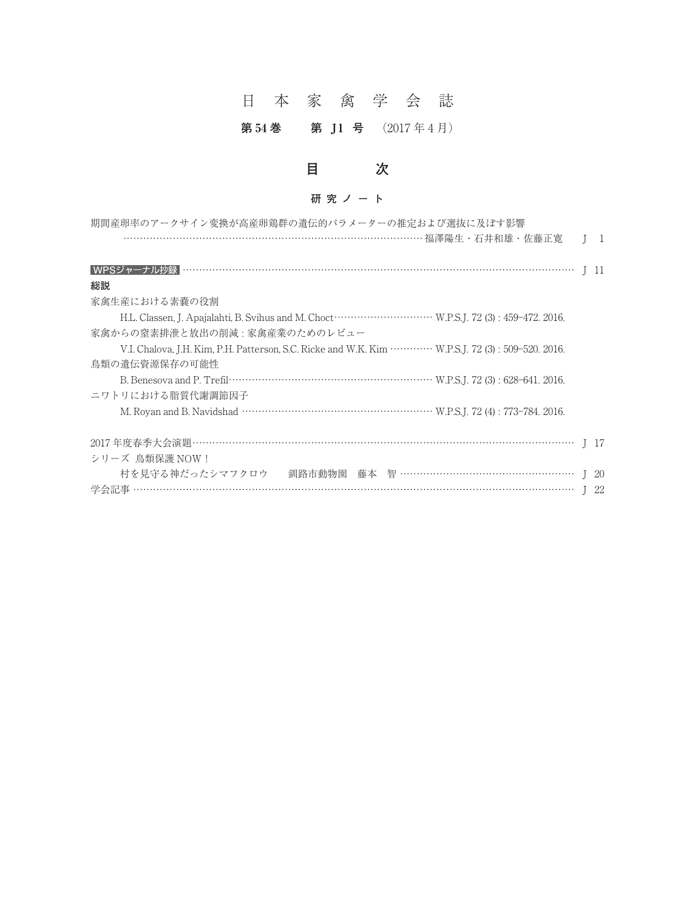# 日本家禽学会誌

### **第 54 巻 第 J 1 号** (2017 年 4 月)

# **目 次**

### **研究ノート**

| 期間産卵率のアークサイン変換が高産卵鶏群の遺伝的パラメーターの推定および選抜に及ぼす影響                                                                   |              |
|----------------------------------------------------------------------------------------------------------------|--------------|
| ……………………………………………………………………… 福澤陽生 · 石井和雄 · 佐藤正寛                                                                 | $\mathbf{1}$ |
|                                                                                                                | - 11         |
| 総説                                                                                                             |              |
| 家禽生産における素嚢の役割                                                                                                  |              |
|                                                                                                                |              |
| 家禽からの窒素排泄と放出の削減 : 家禽産業のためのレビュー                                                                                 |              |
| V.I. Chalova, J.H. Kim, P.H. Patterson, S.C. Ricke and W.K. Kim ·············· W.P.S.J. 72 (3): 509-520. 2016. |              |
| 鳥類の遺伝資源保存の可能性                                                                                                  |              |
|                                                                                                                |              |
| ニワトリにおける脂質代謝調節因子                                                                                               |              |
|                                                                                                                |              |
|                                                                                                                | I 17         |
| シリーズ 鳥類保護 NOW!                                                                                                 |              |
| 村を見守る神だったシマフクロウ<br><i></i> 釧路市動物園 藤本 智 ………………………………………………… J                                                   | -20          |
|                                                                                                                | 22           |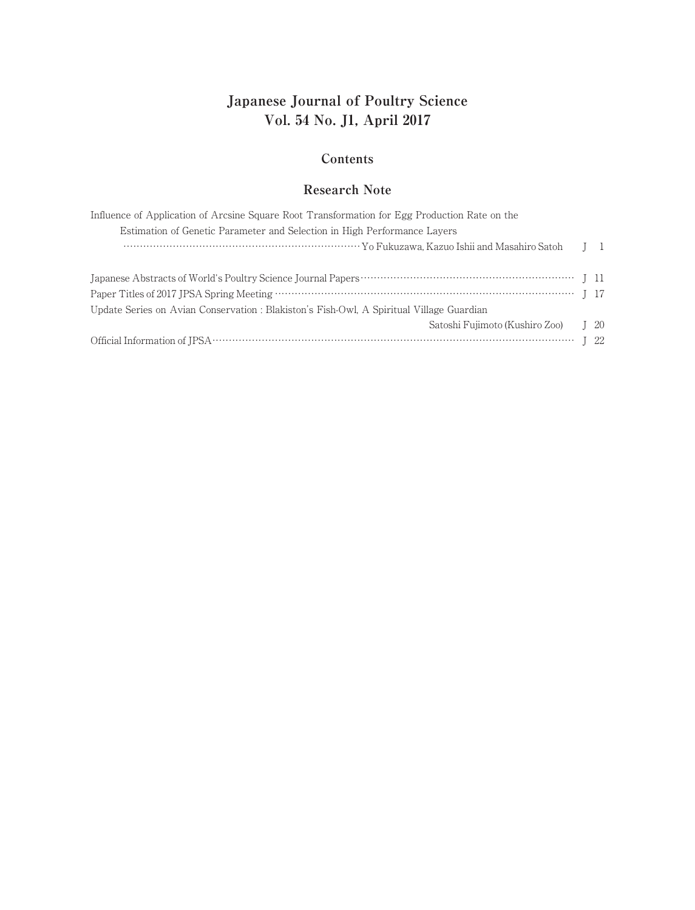## **Japanese Journal of Poultry Science Vol. 54 No. J1, April 2017**

#### **Contents**

### **Research Note**

| Influence of Application of Arcsine Square Root Transformation for Egg Production Rate on the |                                   |
|-----------------------------------------------------------------------------------------------|-----------------------------------|
| Estimation of Genetic Parameter and Selection in High Performance Layers                      |                                   |
|                                                                                               | $\begin{bmatrix} 1 \end{bmatrix}$ |
|                                                                                               |                                   |
|                                                                                               |                                   |
| Update Series on Avian Conservation : Blakiston's Fish-Owl, A Spiritual Village Guardian      |                                   |
| Satoshi Fujimoto (Kushiro Zoo) [ 20                                                           |                                   |
|                                                                                               |                                   |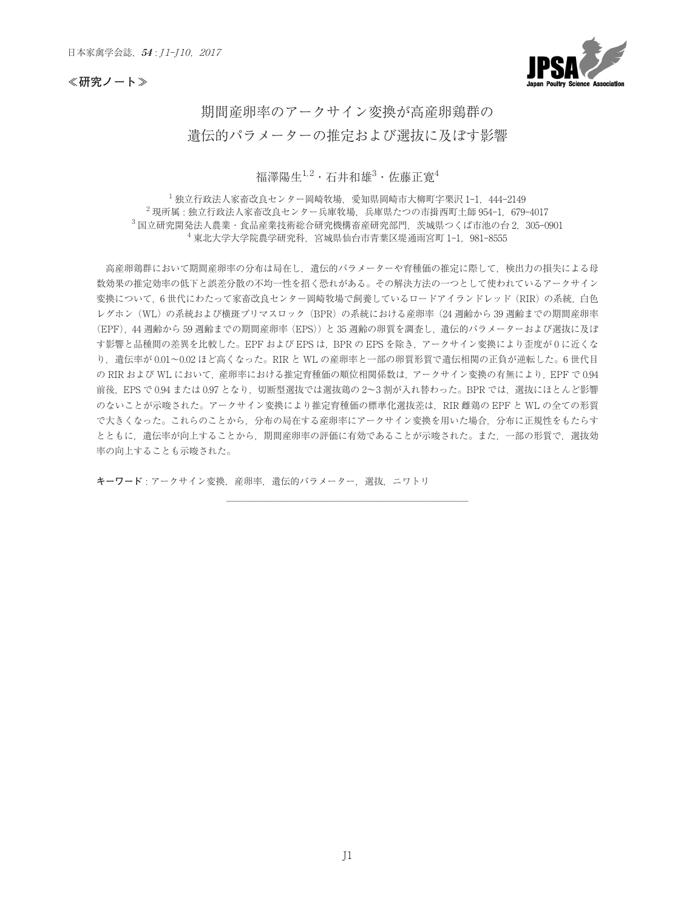★<sub>家禽学会誌,5<br><br>研究ノート≫</sub>



### 期間産卵率のアークサイン変換が高産卵鶏群の 遺伝的パラメーターの推定および選抜に及ぼす影響

#### 福澤陽生 $^{1,2}\cdot$ 石井和雄 $^3\cdot$ 佐藤正寛 $^4$

**1週1ムHソハフメー クー の 推 定 お よ い 迭 扱 に 及 は 9 影 窨** $\overline{a}^4$ **<br>福澤陽生<sup>1,2</sup>・石井和雄<sup>3</sup>・佐藤正寛<sup>4</sup><br><sup>1</sup>独立行政法人家畜改良センター岡崎牧場,愛知県岡崎市大柳町字栗沢 1-1, 444-2149 - 福澤陽生<sup>1,2</sup>・石井和雄<sup>3</sup>・佐藤正寛<sup>4</sup><br>- 独立行政法人家畜改良センター岡崎牧場,愛知県岡崎市大柳町字栗沢 1-1,444-2149<br><sup>2</sup>現所属 : 独立行政法人家畜改良センター兵庫牧場,兵庫県たつの市揖西町土師 954-1,679-4017** 福澤陽生<sup>1,2</sup>・石井和雄<sup>3</sup>・佐藤正寛<sup>4</sup><br><sup>1</sup>独立行政法人家畜改良センター岡崎牧場,愛知県岡崎市大柳町字栗沢 1-1,444-2149<br><sup>2</sup>現所属 : 独立行政法人家畜改良センター兵庫牧場,兵庫県たつの市揖西町土師 954-1,679-4017<br><sup>3</sup>国立研究開発法人農業・食品産業技術総合研究機構畜産研究部門,茨城県つくば市池の台 2,305-0901 **- 福澤陽生<sup>1.2</sup>・石井和雄<sup>3</sup>・佐藤正寛"**<br>立行政法人家畜改良センター岡崎牧場,愛知県岡崎市大柳町字栗沢 1-1,444-<br>独立行政法人家畜改良センター兵庫牧場,兵庫県たつの市揖西町土師 954-1,<br>後法人農業・食品産業技術総合研究機構畜産研究部門,茨城県つくば市池の台<br><sup>4</sup>東北大学大学院農学研究科,宮城県仙台市青葉区堤通雨宮町 1-1,981-8555

高産卵鶏群において期間産卵率の分布は局在し、遺伝的パラメーターや育種価の推定に際して、検出力の損失による母 数効果の推定効率の低下と誤差分散の不均一性を招く恐れがある。その解決方法の一つとして使われているアークサイン 変換について、6世代にわたって家畜改良センター岡崎牧場で飼養しているロードアイランドレッド(RIR)の系統、白色 レグホン (WL) の系統および横斑プリマスロック (BPR) の系統における産卵率 (24 週齢から 39 週齢までの期間産卵率 (EPF),44 週齢から 59 週齢までの期間産卵率(EPS))と 35 週齢の卵質を調査し,遺伝的パラメーターおよび選抜に及ぼ す影響と品種間の差異を比較した。EPF および EPS は、BPR の EPS を除き、アークサイン変換により歪度が 0 に近くな 変換について, 6 世代にわたって家畜改良センター岡崎牧場で飼養しているロードアイランドレッド (RIR) の系統, 白色<br>レグホン (WL) の系統および横斑プリマスロック (BPR) の系統における産卵率 (24 週齢から 39 週齢までの期間産卵率<br>(EPF), 44 週齢から 59 週齢までの期間産卵率 (EPS)) と 35 週齢の卵質を調査し, 遺伝的パラメーターおよび選抜に及ぼ<br>す影響と品種間の差異を比較した。EPF およ の RIR および WL において,産卵率における推定育種価の順位相関係数は, アークサイン変換の有無により, EPF で 0.94 (EPF),44 週齢から 59 週齢までの期間産卵率(EPS))と 35 週齢の卵質を調査し,遺伝的パラメーターおよび選抜に及ぼ<br>す影響と品種間の差異を比較した。EPF および EPS は,BPR の EPS を除き,アークサイン変換により歪度が 0 に近くな<br>り,遺伝率が 0.01~0.02 ほど高くなった。RIR と WL の産卵率と一部の卵質形質で遺伝相関の正負が逆転した。6 世代目<br>の RIR および WL において,産卵率 のないことが示唆された。アークサイン変換により推定育種価の標準化選抜差は,RIR 雌鶏の EPF と WL の全ての形質 で大きくなった。これらのことから,分布の局在する産卵率にアークサイン変換を用いた場合,分布に正規性をもたらす とともに,遺伝率が向上することから,期間産卵率の評価に有効であることが示唆された。また,一部の形質で,選抜効 **──────────────────────────**率の向上することも示唆された。

**キーワード** : アークサイン変換,産卵率,遺伝的パラメーター,選抜,ニワトリ